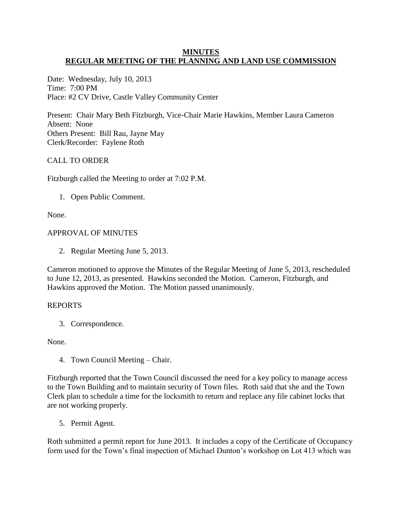## **MINUTES REGULAR MEETING OF THE PLANNING AND LAND USE COMMISSION**

Date: Wednesday, July 10, 2013 Time: 7:00 PM Place: #2 CV Drive, Castle Valley Community Center

Present: Chair Mary Beth Fitzburgh, Vice-Chair Marie Hawkins, Member Laura Cameron Absent: None Others Present: Bill Rau, Jayne May Clerk/Recorder: Faylene Roth

# CALL TO ORDER

Fitzburgh called the Meeting to order at 7:02 P.M.

1. Open Public Comment.

None.

## APPROVAL OF MINUTES

2. Regular Meeting June 5, 2013.

Cameron motioned to approve the Minutes of the Regular Meeting of June 5, 2013, rescheduled to June 12, 2013, as presented. Hawkins seconded the Motion. Cameron, Fitzburgh, and Hawkins approved the Motion. The Motion passed unanimously.

## REPORTS

3. Correspondence.

None.

4. Town Council Meeting – Chair.

Fitzburgh reported that the Town Council discussed the need for a key policy to manage access to the Town Building and to maintain security of Town files. Roth said that she and the Town Clerk plan to schedule a time for the locksmith to return and replace any file cabinet locks that are not working properly.

5. Permit Agent.

Roth submitted a permit report for June 2013. It includes a copy of the Certificate of Occupancy form used for the Town's final inspection of Michael Dunton's workshop on Lot 413 which was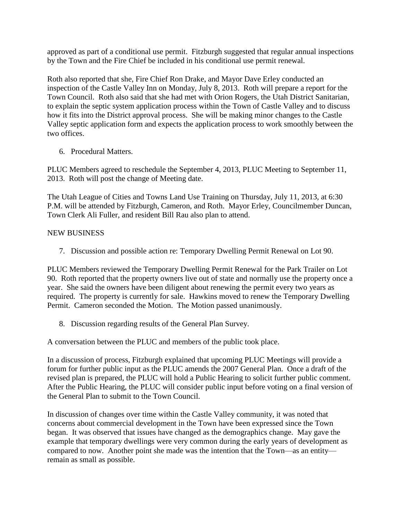approved as part of a conditional use permit. Fitzburgh suggested that regular annual inspections by the Town and the Fire Chief be included in his conditional use permit renewal.

Roth also reported that she, Fire Chief Ron Drake, and Mayor Dave Erley conducted an inspection of the Castle Valley Inn on Monday, July 8, 2013. Roth will prepare a report for the Town Council. Roth also said that she had met with Orion Rogers, the Utah District Sanitarian, to explain the septic system application process within the Town of Castle Valley and to discuss how it fits into the District approval process. She will be making minor changes to the Castle Valley septic application form and expects the application process to work smoothly between the two offices.

6. Procedural Matters.

PLUC Members agreed to reschedule the September 4, 2013, PLUC Meeting to September 11, 2013. Roth will post the change of Meeting date.

The Utah League of Cities and Towns Land Use Training on Thursday, July 11, 2013, at 6:30 P.M. will be attended by Fitzburgh, Cameron, and Roth. Mayor Erley, Councilmember Duncan, Town Clerk Ali Fuller, and resident Bill Rau also plan to attend.

# NEW BUSINESS

7. Discussion and possible action re: Temporary Dwelling Permit Renewal on Lot 90.

PLUC Members reviewed the Temporary Dwelling Permit Renewal for the Park Trailer on Lot 90. Roth reported that the property owners live out of state and normally use the property once a year. She said the owners have been diligent about renewing the permit every two years as required. The property is currently for sale. Hawkins moved to renew the Temporary Dwelling Permit. Cameron seconded the Motion. The Motion passed unanimously.

8. Discussion regarding results of the General Plan Survey.

A conversation between the PLUC and members of the public took place.

In a discussion of process, Fitzburgh explained that upcoming PLUC Meetings will provide a forum for further public input as the PLUC amends the 2007 General Plan. Once a draft of the revised plan is prepared, the PLUC will hold a Public Hearing to solicit further public comment. After the Public Hearing, the PLUC will consider public input before voting on a final version of the General Plan to submit to the Town Council.

In discussion of changes over time within the Castle Valley community, it was noted that concerns about commercial development in the Town have been expressed since the Town began. It was observed that issues have changed as the demographics change. May gave the example that temporary dwellings were very common during the early years of development as compared to now. Another point she made was the intention that the Town—as an entity remain as small as possible.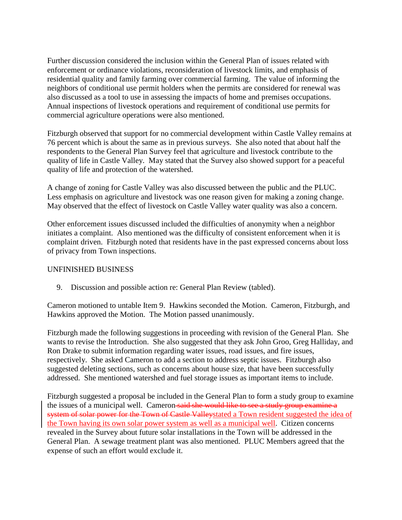Further discussion considered the inclusion within the General Plan of issues related with enforcement or ordinance violations, reconsideration of livestock limits, and emphasis of residential quality and family farming over commercial farming. The value of informing the neighbors of conditional use permit holders when the permits are considered for renewal was also discussed as a tool to use in assessing the impacts of home and premises occupations. Annual inspections of livestock operations and requirement of conditional use permits for commercial agriculture operations were also mentioned.

Fitzburgh observed that support for no commercial development within Castle Valley remains at 76 percent which is about the same as in previous surveys. She also noted that about half the respondents to the General Plan Survey feel that agriculture and livestock contribute to the quality of life in Castle Valley. May stated that the Survey also showed support for a peaceful quality of life and protection of the watershed.

A change of zoning for Castle Valley was also discussed between the public and the PLUC. Less emphasis on agriculture and livestock was one reason given for making a zoning change. May observed that the effect of livestock on Castle Valley water quality was also a concern.

Other enforcement issues discussed included the difficulties of anonymity when a neighbor initiates a complaint. Also mentioned was the difficulty of consistent enforcement when it is complaint driven. Fitzburgh noted that residents have in the past expressed concerns about loss of privacy from Town inspections.

# UNFINISHED BUSINESS

9. Discussion and possible action re: General Plan Review (tabled).

Cameron motioned to untable Item 9. Hawkins seconded the Motion. Cameron, Fitzburgh, and Hawkins approved the Motion. The Motion passed unanimously.

Fitzburgh made the following suggestions in proceeding with revision of the General Plan. She wants to revise the Introduction. She also suggested that they ask John Groo, Greg Halliday, and Ron Drake to submit information regarding water issues, road issues, and fire issues, respectively. She asked Cameron to add a section to address septic issues. Fitzburgh also suggested deleting sections, such as concerns about house size, that have been successfully addressed. She mentioned watershed and fuel storage issues as important items to include.

Fitzburgh suggested a proposal be included in the General Plan to form a study group to examine the issues of a municipal well. Cameron said she would like to see a study group examine a system of solar power for the Town of Castle Valleystated a Town resident suggested the idea of the Town having its own solar power system as well as a municipal well. Citizen concerns revealed in the Survey about future solar installations in the Town will be addressed in the General Plan. A sewage treatment plant was also mentioned. PLUC Members agreed that the expense of such an effort would exclude it.